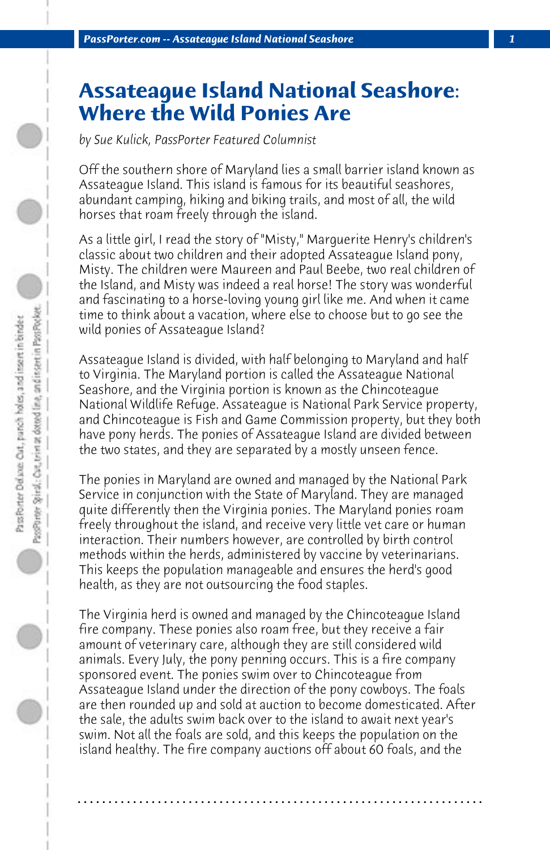## **Assateague Island National Seashore: Where the Wild Ponies Are**

*by Sue Kulick, PassPorter Featured Columnist*

Off the southern shore of Maryland lies a small barrier island known as Assateague Island. This island is famous for its beautiful seashores, abundant camping, hiking and biking trails, and most of all, the wild horses that roam freely through the island.

As a little girl, I read the story of "Misty," Marguerite Henry's children's classic about two children and their adopted Assateague Island pony, Misty. The children were Maureen and Paul Beebe, two real children of the Island, and Misty was indeed a real horse! The story was wonderful and fascinating to a horse-loving young girl like me. And when it came time to think about a vacation, where else to choose but to go see the wild ponies of Assateague Island?

Assateague Island is divided, with half belonging to Maryland and half to Virginia. The Maryland portion is called the Assateague National Seashore, and the Virginia portion is known as the Chincoteague National Wildlife Refuge. Assateague is National Park Service property, and Chincoteague is Fish and Game Commission property, but they both have pony herds. The ponies of Assateague Island are divided between the two states, and they are separated by a mostly unseen fence.

The ponies in Maryland are owned and managed by the National Park Service in conjunction with the State of Maryland. They are managed quite differently then the Virginia ponies. The Maryland ponies roam freely throughout the island, and receive very little vet care or human interaction. Their numbers however, are controlled by birth control methods within the herds, administered by vaccine by veterinarians. This keeps the population manageable and ensures the herd's good health, as they are not outsourcing the food staples.

The Virginia herd is owned and managed by the Chincoteague Island fire company. These ponies also roam free, but they receive a fair amount of veterinary care, although they are still considered wild animals. Every July, the pony penning occurs. This is a fire company sponsored event. The ponies swim over to Chincoteague from Assateague Island under the direction of the pony cowboys. The foals are then rounded up and sold at auction to become domesticated. After the sale, the adults swim back over to the island to await next year's swim. Not all the foals are sold, and this keeps the population on the island healthy. The fire company auctions off about 60 foals, and the

**. . . . . . . . . . . . . . . . . . . . . . . . . . . . . . . . . . . . . . . . . . . . . . . . . . . . . . . . . . . . . . . . . .**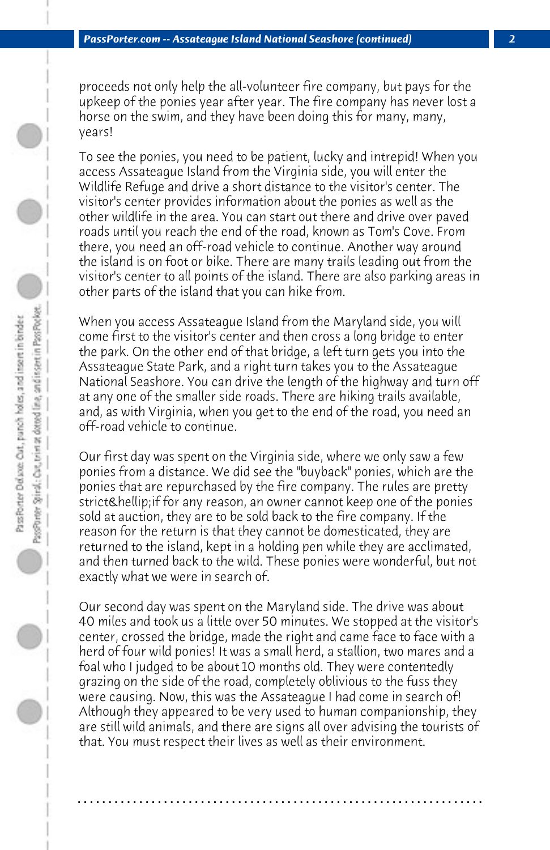proceeds not only help the all-volunteer fire company, but pays for the upkeep of the ponies year after year. The fire company has never lost a horse on the swim, and they have been doing this for many, many, years!

To see the ponies, you need to be patient, lucky and intrepid! When you access Assateague Island from the Virginia side, you will enter the Wildlife Refuge and drive a short distance to the visitor's center. The visitor's center provides information about the ponies as well as the other wildlife in the area. You can start out there and drive over paved roads until you reach the end of the road, known as Tom's Cove. From there, you need an off-road vehicle to continue. Another way around the island is on foot or bike. There are many trails leading out from the visitor's center to all points of the island. There are also parking areas in other parts of the island that you can hike from.

When you access Assateague Island from the Maryland side, you will come first to the visitor's center and then cross a long bridge to enter the park. On the other end of that bridge, a left turn gets you into the Assateague State Park, and a right turn takes you to the Assateague National Seashore. You can drive the length of the highway and turn off at any one of the smaller side roads. There are hiking trails available, and, as with Virginia, when you get to the end of the road, you need an off-road vehicle to continue.

Our first day was spent on the Virginia side, where we only saw a few ponies from a distance. We did see the "buyback" ponies, which are the ponies that are repurchased by the fire company. The rules are pretty strict… if for any reason, an owner cannot keep one of the ponies sold at auction, they are to be sold back to the fire company. If the reason for the return is that they cannot be domesticated, they are returned to the island, kept in a holding pen while they are acclimated, and then turned back to the wild. These ponies were wonderful, but not exactly what we were in search of.

Our second day was spent on the Maryland side. The drive was about 40 miles and took us a little over 50 minutes. We stopped at the visitor's center, crossed the bridge, made the right and came face to face with a herd of four wild ponies! It was a small herd, a stallion, two mares and a foal who I judged to be about 10 months old. They were contentedly grazing on the side of the road, completely oblivious to the fuss they were causing. Now, this was the Assateague I had come in search of! Although they appeared to be very used to human companionship, they are still wild animals, and there are signs all over advising the tourists of that. You must respect their lives as well as their environment.

**. . . . . . . . . . . . . . . . . . . . . . . . . . . . . . . . . . . . . . . . . . . . . . . . . . . . . . . . . . . . . . . . . .**